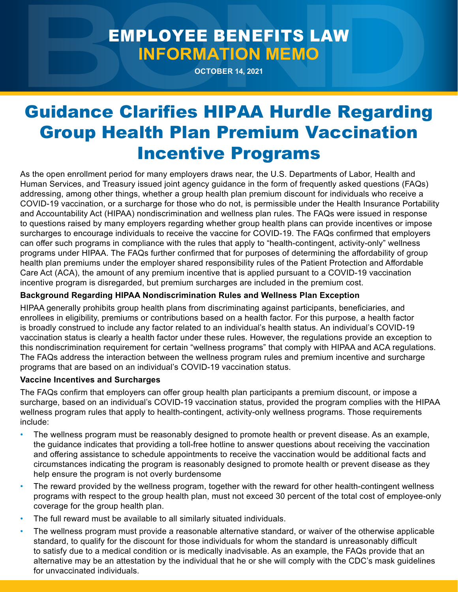# EMPLOYEE BENEFITS LAW **INFORMATION MEMO**

**OCTOBER 14, 2021**

# Guidance Clarifies HIPAA Hurdle Regarding Group Health Plan Premium Vaccination Incentive Programs

As the open enrollment period for many employers draws near, the U.S. Departments of Labor, Health and Human Services, and Treasury issued joint agency guidance in the form of frequently asked questions (FAQs) addressing, among other things, whether a group health plan premium discount for individuals who receive a COVID-19 vaccination, or a surcharge for those who do not, is permissible under the Health Insurance Portability and Accountability Act (HIPAA) nondiscrimination and wellness plan rules. The FAQs were issued in response to questions raised by many employers regarding whether group health plans can provide incentives or impose surcharges to encourage individuals to receive the vaccine for COVID-19. The FAQs confirmed that employers can offer such programs in compliance with the rules that apply to "health-contingent, activity-only" wellness programs under HIPAA. The FAQs further confirmed that for purposes of determining the affordability of group health plan premiums under the employer shared responsibility rules of the Patient Protection and Affordable Care Act (ACA), the amount of any premium incentive that is applied pursuant to a COVID-19 vaccination incentive program is disregarded, but premium surcharges are included in the premium cost.

## **Background Regarding HIPAA Nondiscrimination Rules and Wellness Plan Exception**

HIPAA generally prohibits group health plans from discriminating against participants, beneficiaries, and enrollees in eligibility, premiums or contributions based on a health factor. For this purpose, a health factor is broadly construed to include any factor related to an individual's health status. An individual's COVID-19 vaccination status is clearly a health factor under these rules. However, the regulations provide an exception to this nondiscrimination requirement for certain "wellness programs" that comply with HIPAA and ACA regulations. The FAQs address the interaction between the wellness program rules and premium incentive and surcharge programs that are based on an individual's COVID-19 vaccination status.

#### **Vaccine Incentives and Surcharges**

The FAQs confirm that employers can offer group health plan participants a premium discount, or impose a surcharge, based on an individual's COVID-19 vaccination status, provided the program complies with the HIPAA wellness program rules that apply to health-contingent, activity-only wellness programs. Those requirements include:

- The wellness program must be reasonably designed to promote health or prevent disease. As an example, the guidance indicates that providing a toll-free hotline to answer questions about receiving the vaccination and offering assistance to schedule appointments to receive the vaccination would be additional facts and circumstances indicating the program is reasonably designed to promote health or prevent disease as they help ensure the program is not overly burdensome
- The reward provided by the wellness program, together with the reward for other health-contingent wellness programs with respect to the group health plan, must not exceed 30 percent of the total cost of employee-only coverage for the group health plan.
- The full reward must be available to all similarly situated individuals.
- The wellness program must provide a reasonable alternative standard, or waiver of the otherwise applicable standard, to qualify for the discount for those individuals for whom the standard is unreasonably difficult to satisfy due to a medical condition or is medically inadvisable. As an example, the FAQs provide that an alternative may be an attestation by the individual that he or she will comply with the CDC's mask guidelines for unvaccinated individuals.